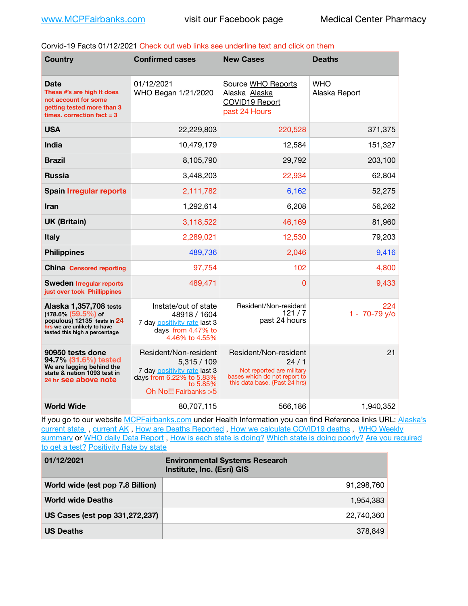Corvid-19 Facts 01/12/2021 Check out web links see underline text and click on them

| <b>Country</b>                                                                                                                                  | <b>Confirmed cases</b>                                                                                                              | <b>New Cases</b>                                                                                                            | <b>Deaths</b>               |
|-------------------------------------------------------------------------------------------------------------------------------------------------|-------------------------------------------------------------------------------------------------------------------------------------|-----------------------------------------------------------------------------------------------------------------------------|-----------------------------|
| Date<br>These #'s are high It does<br>not account for some<br>getting tested more than 3<br>times, correction $fact = 3$                        | 01/12/2021<br>WHO Began 1/21/2020                                                                                                   | Source WHO Reports<br>Alaska Alaska<br><b>COVID19 Report</b><br>past 24 Hours                                               | <b>WHO</b><br>Alaska Report |
| <b>USA</b>                                                                                                                                      | 22,229,803                                                                                                                          | 220,528                                                                                                                     | 371,375                     |
| <b>India</b>                                                                                                                                    | 10,479,179                                                                                                                          | 12,584                                                                                                                      | 151,327                     |
| <b>Brazil</b>                                                                                                                                   | 8,105,790                                                                                                                           | 29,792                                                                                                                      | 203,100                     |
| <b>Russia</b>                                                                                                                                   | 3,448,203                                                                                                                           | 22,934                                                                                                                      | 62,804                      |
| <b>Spain Irregular reports</b>                                                                                                                  | 2,111,782                                                                                                                           | 6,162                                                                                                                       | 52,275                      |
| <b>Iran</b>                                                                                                                                     | 1,292,614                                                                                                                           | 6,208                                                                                                                       | 56,262                      |
| <b>UK (Britain)</b>                                                                                                                             | 3,118,522                                                                                                                           | 46,169                                                                                                                      | 81,960                      |
| <b>Italy</b>                                                                                                                                    | 2,289,021                                                                                                                           | 12,530                                                                                                                      | 79,203                      |
| <b>Philippines</b>                                                                                                                              | 489,736                                                                                                                             | 2,046                                                                                                                       | 9,416                       |
| <b>China Censored reporting</b>                                                                                                                 | 97,754                                                                                                                              | 102                                                                                                                         | 4,800                       |
| <b>Sweden Irregular reports</b><br>just over took Phillippines                                                                                  | 489,471                                                                                                                             | 0                                                                                                                           | 9,433                       |
| Alaska 1,357,708 tests<br>$(178.6\%)(59.5\%)$ of<br>populous) 12135 tests in 24<br>hrs we are unlikely to have<br>tested this high a percentage | Instate/out of state<br>48918 / 1604<br>7 day positivity rate last 3<br>days from 4.47% to<br>4.46% to 4.55%                        | Resident/Non-resident<br>121/7<br>past 24 hours                                                                             | 224<br>$1 - 70 - 79$ y/o    |
| 90950 tests done<br>94.7% (31.6%) tested<br>We are lagging behind the<br>state & nation 1093 test in<br>24 hr see above note                    | Resident/Non-resident<br>5,315/109<br>7 day positivity rate last 3<br>days from 6.22% to 5.83%<br>to 5.85%<br>Oh No!!! Fairbanks >5 | Resident/Non-resident<br>24/1<br>Not reported are military<br>bases which do not report to<br>this data base. {Past 24 hrs) | 21                          |
| <b>World Wide</b>                                                                                                                               | 80,707,115                                                                                                                          | 566,186                                                                                                                     | 1,940,352                   |

If you go to our website [MCPFairbanks.com](http://www.MCPFairbanks.com) under Health Information you can find Reference links URL: Alaska's current state, current AK, [How are Deaths Reported](http://dhss.alaska.gov/dph/Epi/id/Pages/COVID-19/deathcounts.aspx), [How we calculate COVID19 deaths](https://coronavirus-response-alaska-dhss.hub.arcgis.com/search?collection=Document&groupIds=41ccb3344ebc4bd682c74073eba21f42), WHO Weekly [summary](http://www.who.int) or [WHO daily Data Report](https://covid19.who.int/table), [How is each state is doing?](https://www.msn.com/en-us/news/us/state-by-state-coronavirus-news/ar-BB13E1PX?fbclid=IwAR0_OBJH7lSyTN3ug_MsOeFnNgB1orTa9OBgilKJ7dhnwlVvHEsptuKkj1c) [Which state is doing poorly?](https://bestlifeonline.com/covid-outbreak-your-state/?utm_source=nsltr&utm_medium=email&utm_content=covid-outbreak-your-state&utm_campaign=launch) Are you required [to get a test?](http://dhss.alaska.gov/dph/Epi/id/SiteAssets/Pages/HumanCoV/Whattodoafteryourtest.pdf) [Positivity Rate by state](https://coronavirus.jhu.edu/testing/individual-states/alaska)

| 01/12/2021                       | <b>Environmental Systems Research</b><br>Institute, Inc. (Esri) GIS |
|----------------------------------|---------------------------------------------------------------------|
| World wide (est pop 7.8 Billion) | 91,298,760                                                          |
| <b>World wide Deaths</b>         | 1,954,383                                                           |
| US Cases (est pop 331,272,237)   | 22,740,360                                                          |
| <b>US Deaths</b>                 | 378.849                                                             |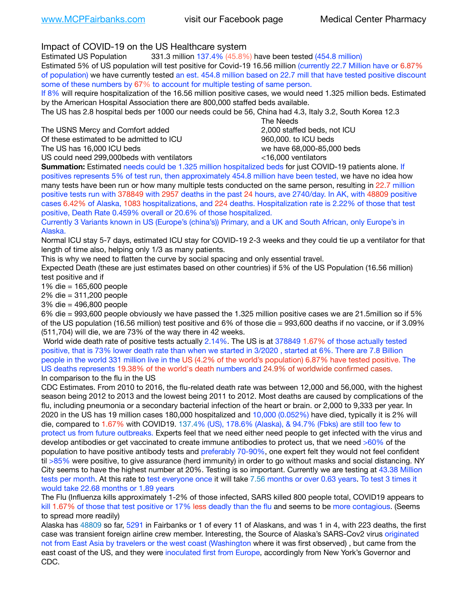Impact of COVID-19 on the US Healthcare system

Estimated US Population 331.3 million 137.4% (45.8%) have been tested (454.8 million) Estimated 5% of US population will test positive for Covid-19 16.56 million (currently 22.7 Million have or 6.87% of population) we have currently tested an est. 454.8 million based on 22.7 mill that have tested positive discount some of these numbers by 67% to account for multiple testing of same person.

If 8% will require hospitalization of the 16.56 million positive cases, we would need 1.325 million beds. Estimated by the American Hospital Association there are 800,000 staffed beds available.

The US has 2.8 hospital beds per 1000 our needs could be 56, China had 4.3, Italy 3.2, South Korea 12.3

The USNS Mercy and Comfort added 2,000 staffed beds, not ICU

Of these estimated to be admitted to ICU 860,000. to ICU beds

The US has 16,000 ICU beds we have 68,000-85,000 beds

 The Needs

US could need 299,000 beds with ventilators  $\leq 16,000$  ventilators

**Summation:** Estimated needs could be 1.325 million hospitalized beds for just COVID-19 patients alone. If positives represents 5% of test run, then approximately 454.8 million have been tested, we have no idea how many tests have been run or how many multiple tests conducted on the same person, resulting in 22.7 million positive tests run with 378849 with 2957 deaths in the past 24 hours, ave 2740/day. In AK, with 48809 positive cases 6.42% of Alaska, 1083 hospitalizations, and 224 deaths. Hospitalization rate is 2.22% of those that test positive, Death Rate 0.459% overall or 20.6% of those hospitalized.

Currently 3 Variants known in US (Europe's (china's)) Primary, and a UK and South African, only Europe's in Alaska.

Normal ICU stay 5-7 days, estimated ICU stay for COVID-19 2-3 weeks and they could tie up a ventilator for that length of time also, helping only 1/3 as many patients.

This is why we need to flatten the curve by social spacing and only essential travel.

Expected Death (these are just estimates based on other countries) if 5% of the US Population (16.56 million) test positive and if

1% die = 165,600 people

2% die = 311,200 people

3% die = 496,800 people

6% die = 993,600 people obviously we have passed the 1.325 million positive cases we are 21.5million so if 5% of the US population (16.56 million) test positive and 6% of those die = 993,600 deaths if no vaccine, or if 3.09% (511,704) will die, we are 73% of the way there in 42 weeks.

 World wide death rate of positive tests actually 2.14%. The US is at 378849 1.67% of those actually tested positive, that is 73% lower death rate than when we started in 3/2020 , started at 6%. There are 7.8 Billion people in the world 331 million live in the US (4.2% of the world's population) 6.87% have tested positive. The US deaths represents 19.38% of the world's death numbers and 24.9% of worldwide confirmed cases. In comparison to the flu in the US

CDC Estimates. From 2010 to 2016, the flu-related death rate was between 12,000 and 56,000, with the highest season being 2012 to 2013 and the lowest being 2011 to 2012. Most deaths are caused by complications of the flu, including pneumonia or a secondary bacterial infection of the heart or brain. or 2,000 to 9,333 per year. In 2020 in the US has 19 million cases 180,000 hospitalized and 10,000 (0.052%) have died, typically it is 2% will die, compared to 1.67% with COVID19. 137.4% (US), 178.6% (Alaska), & 94.7% (Fbks) are still too few to protect us from future outbreaks. Experts feel that we need either need people to get infected with the virus and develop antibodies or get vaccinated to create immune antibodies to protect us, that we need >60% of the population to have positive antibody tests and preferably 70-90%, one expert felt they would not feel confident til >85% were positive, to give assurance (herd immunity) in order to go without masks and social distancing. NY City seems to have the highest number at 20%. Testing is so important. Currently we are testing at 43.38 Million tests per month. At this rate to test everyone once it will take 7.56 months or over 0.63 years. To test 3 times it would take 22.68 months or 1.89 years

The Flu (Influenza kills approximately 1-2% of those infected, SARS killed 800 people total, COVID19 appears to kill 1.67% of those that test positive or 17% less deadly than the flu and seems to be more contagious. (Seems to spread more readily)

Alaska has 48809 so far, 5291 in Fairbanks or 1 of every 11 of Alaskans, and was 1 in 4, with 223 deaths, the first case was transient foreign airline crew member. Interesting, the Source of Alaska's SARS-Cov2 virus originated not from East Asia by travelers or the west coast (Washington where it was first observed) , but came from the east coast of the US, and they were inoculated first from Europe, accordingly from New York's Governor and CDC.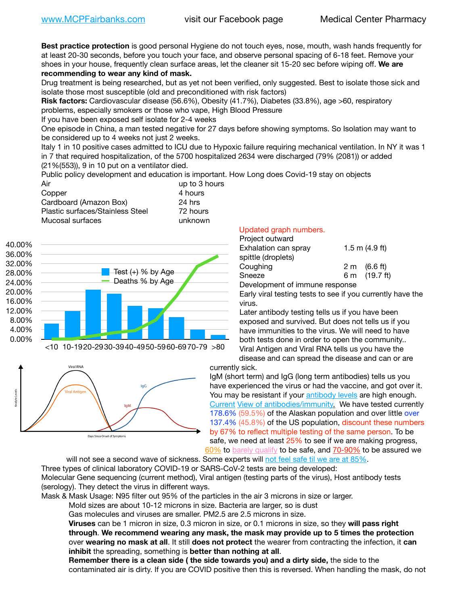**Best practice protection** is good personal Hygiene do not touch eyes, nose, mouth, wash hands frequently for at least 20-30 seconds, before you touch your face, and observe personal spacing of 6-18 feet. Remove your shoes in your house, frequently clean surface areas, let the cleaner sit 15-20 sec before wiping off. **We are recommending to wear any kind of mask.**

Drug treatment is being researched, but as yet not been verified, only suggested. Best to isolate those sick and isolate those most susceptible (old and preconditioned with risk factors)

**Risk factors:** Cardiovascular disease (56.6%), Obesity (41.7%), Diabetes (33.8%), age >60, respiratory problems, especially smokers or those who vape, High Blood Pressure

If you have been exposed self isolate for 2-4 weeks

One episode in China, a man tested negative for 27 days before showing symptoms. So Isolation may want to be considered up to 4 weeks not just 2 weeks.

Italy 1 in 10 positive cases admitted to ICU due to Hypoxic failure requiring mechanical ventilation. In NY it was 1 in 7 that required hospitalization, of the 5700 hospitalized 2634 were discharged (79% (2081)) or added (21%(553)), 9 in 10 put on a ventilator died.

Public policy development and education is important. How Long does Covid-19 stay on objects

| Air                              | up to 3 hours |
|----------------------------------|---------------|
| Copper                           | 4 hours       |
| Cardboard (Amazon Box)           | 24 hrs        |
| Plastic surfaces/Stainless Steel | 72 hours      |
| Mucosal surfaces                 | unknown       |





## Updated graph numbers.

| Project outward                |                    |
|--------------------------------|--------------------|
| Exhalation can spray           | $1.5$ m $(4.9$ ft) |
| spittle (droplets)             |                    |
| Coughing                       | 2 m (6.6 ft)       |
| Sneeze                         | 6 m (19.7 ft)      |
| Development of immune response |                    |

Early viral testing tests to see if you currently have the virus.

Later antibody testing tells us if you have been exposed and survived. But does not tells us if you have immunities to the virus. We will need to have both tests done in order to open the community.. Viral Antigen and Viral RNA tells us you have the disease and can spread the disease and can or are

currently sick.

IgM (short term) and IgG (long term antibodies) tells us you have experienced the virus or had the vaccine, and got over it. You may be resistant if your [antibody levels](https://www.cdc.gov/coronavirus/2019-ncov/lab/resources/antibody-tests.html) are high enough. [Current](https://l.facebook.com/l.php?u=https://www.itv.com/news/2020-10-26/covid-19-antibody-levels-reduce-over-time-study-finds?fbclid=IwAR3Dapzh1qIH1EIOdUQI2y8THf7jfA4KBCaJz8Qg-8xe1YsrR4nsAHDIXSY&h=AT30nut8pkqp0heVuz5W2rT2WFFm-2Ab52BsJxZZCNlGsX58IpPkuVEPULbIUV_M16MAukx1Kwb657DPXxsgDN1rpOQ4gqBtQsmVYiWpnHPJo2RQsU6CPMd14lgLnQnFWxfVi6zvmw&__tn__=-UK-R&c%5B0%5D=AT1GaRAfR_nGAyqcn7TI1-PpvqOqEKXHnz6TDWvRStMnOSH7boQDvTiwTOc6VId9UES6LKiOmm2m88wKCoolkJyOFvakt2Z1Mw8toYWGGoWW23r0MNVBl7cYJXB_UOvGklNHaNnaNr1_S7NhT3BSykNOBg) [View of antibodies/immunity](https://www.livescience.com/antibodies.html)[.](https://www.itv.com/news/2020-10-26/covid-19-antibody-levels-reduce-over-time-study-finds) We have tested currently 178.6% (59.5%) of the Alaskan population and over little over 137.4% (45.8%) of the US population, discount these numbers by 67% to reflect multiple testing of the same person. To be safe, we need at least 25% to see if we are making progress, [60%](https://www.jhsph.edu/covid-19/articles/achieving-herd-immunity-with-covid19.html) to [barely qualify](https://www.nature.com/articles/d41586-020-02948-4) to be safe, and [70-90%](https://www.mayoclinic.org/herd-immunity-and-coronavirus/art-20486808) to be assured we

will not see a second wave of sickness. Some experts will [not feel safe til we are at 85%.](https://www.bannerhealth.com/healthcareblog/teach-me/what-is-herd-immunity) Three types of clinical laboratory COVID-19 or SARS-CoV-2 tests are being developed: Molecular Gene sequencing (current method), Viral antigen (testing parts of the virus), Host antibody tests (serology). They detect the virus in different ways.

Mask & Mask Usage: N95 filter out 95% of the particles in the air 3 microns in size or larger.

Mold sizes are about 10-12 microns in size. Bacteria are larger, so is dust

Gas molecules and viruses are smaller. PM2.5 are 2.5 microns in size.

**Viruses** can be 1 micron in size, 0.3 micron in size, or 0.1 microns in size, so they **will pass right through**. **We recommend wearing any mask, the mask may provide up to 5 times the protection** over **wearing no mask at all**. It still **does not protect** the wearer from contracting the infection, it **can inhibit** the spreading, something is **better than nothing at all**.

**Remember there is a clean side ( the side towards you) and a dirty side,** the side to the contaminated air is dirty. If you are COVID positive then this is reversed. When handling the mask, do not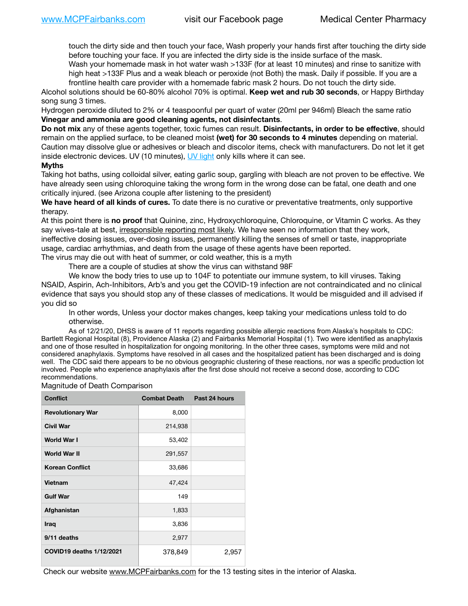touch the dirty side and then touch your face, Wash properly your hands first after touching the dirty side before touching your face. If you are infected the dirty side is the inside surface of the mask.

Wash your homemade mask in hot water wash >133F (for at least 10 minutes) and rinse to sanitize with high heat >133F Plus and a weak bleach or peroxide (not Both) the mask. Daily if possible. If you are a frontline health care provider with a homemade fabric mask 2 hours. Do not touch the dirty side.

Alcohol solutions should be 60-80% alcohol 70% is optimal. **Keep wet and rub 30 seconds**, or Happy Birthday song sung 3 times.

Hydrogen peroxide diluted to 2% or 4 teaspoonful per quart of water (20ml per 946ml) Bleach the same ratio **Vinegar and ammonia are good cleaning agents, not disinfectants**.

**Do not mix** any of these agents together, toxic fumes can result. **Disinfectants, in order to be effective**, should remain on the applied surface, to be cleaned moist **(wet) for 30 seconds to 4 minutes** depending on material. Caution may dissolve glue or adhesives or bleach and discolor items, check with manufacturers. Do not let it get inside electronic devices. UV (10 minutes), [UV light](http://www.docreviews.me/best-uv-boxes-2020/?fbclid=IwAR3bvFtXB48OoBBSvYvTEnKuHNPbipxM6jUo82QUSw9wckxjC7wwRZWabGw) only kills where it can see.

## **Myths**

Taking hot baths, using colloidal silver, eating garlic soup, gargling with bleach are not proven to be effective. We have already seen using chloroquine taking the wrong form in the wrong dose can be fatal, one death and one critically injured. (see Arizona couple after listening to the president)

**We have heard of all kinds of cures.** To date there is no curative or preventative treatments, only supportive therapy.

At this point there is **no proof** that Quinine, zinc, Hydroxychloroquine, Chloroquine, or Vitamin C works. As they say wives-tale at best, irresponsible reporting most likely. We have seen no information that they work, ineffective dosing issues, over-dosing issues, permanently killing the senses of smell or taste, inappropriate usage, cardiac arrhythmias, and death from the usage of these agents have been reported. The virus may die out with heat of summer, or cold weather, this is a myth

There are a couple of studies at show the virus can withstand 98F

We know the body tries to use up to 104F to potentiate our immune system, to kill viruses. Taking NSAID, Aspirin, Ach-Inhibitors, Arb's and you get the COVID-19 infection are not contraindicated and no clinical evidence that says you should stop any of these classes of medications. It would be misguided and ill advised if you did so

In other words, Unless your doctor makes changes, keep taking your medications unless told to do otherwise.

As of 12/21/20, DHSS is aware of 11 reports regarding possible allergic reactions from Alaska's hospitals to CDC: Bartlett Regional Hospital (8), Providence Alaska (2) and Fairbanks Memorial Hospital (1). Two were identified as anaphylaxis and one of those resulted in hospitalization for ongoing monitoring. In the other three cases, symptoms were mild and not considered anaphylaxis. Symptoms have resolved in all cases and the hospitalized patient has been discharged and is doing well. The CDC said there appears to be no obvious geographic clustering of these reactions, nor was a specific production lot involved. People who experience anaphylaxis after the first dose should not receive a second dose, according to CDC recommendations.

Magnitude of Death Comparison

| <b>Conflict</b>          | <b>Combat Death</b> | Past 24 hours |
|--------------------------|---------------------|---------------|
| <b>Revolutionary War</b> | 8,000               |               |
| <b>Civil War</b>         | 214,938             |               |
| World War I              | 53,402              |               |
| <b>World War II</b>      | 291,557             |               |
| <b>Korean Conflict</b>   | 33,686              |               |
| Vietnam                  | 47,424              |               |
| <b>Gulf War</b>          | 149                 |               |
| Afghanistan              | 1,833               |               |
| Iraq                     | 3,836               |               |
| 9/11 deaths              | 2,977               |               |
| COVID19 deaths 1/12/2021 | 378,849             | 2,957         |

Check our website [www.MCPFairbanks.com](http://www.MCPFairbanks.com) for the 13 testing sites in the interior of Alaska.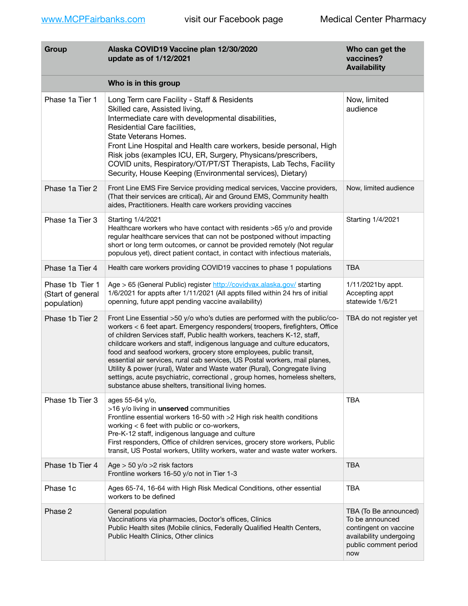| Group                                               | Alaska COVID19 Vaccine plan 12/30/2020<br>update as of 1/12/2021                                                                                                                                                                                                                                                                                                                                                                                                                                                                                                                                                                                                                           | Who can get the<br>vaccines?<br><b>Availability</b>                                                                          |
|-----------------------------------------------------|--------------------------------------------------------------------------------------------------------------------------------------------------------------------------------------------------------------------------------------------------------------------------------------------------------------------------------------------------------------------------------------------------------------------------------------------------------------------------------------------------------------------------------------------------------------------------------------------------------------------------------------------------------------------------------------------|------------------------------------------------------------------------------------------------------------------------------|
|                                                     | Who is in this group                                                                                                                                                                                                                                                                                                                                                                                                                                                                                                                                                                                                                                                                       |                                                                                                                              |
| Phase 1a Tier 1                                     | Long Term care Facility - Staff & Residents<br>Skilled care, Assisted living,<br>Intermediate care with developmental disabilities,<br>Residential Care facilities,<br>State Veterans Homes.<br>Front Line Hospital and Health care workers, beside personal, High<br>Risk jobs (examples ICU, ER, Surgery, Physicans/prescribers,<br>COVID units, Respiratory/OT/PT/ST Therapists, Lab Techs, Facility<br>Security, House Keeping (Environmental services), Dietary)                                                                                                                                                                                                                      | Now, limited<br>audience                                                                                                     |
| Phase 1a Tier 2                                     | Front Line EMS Fire Service providing medical services, Vaccine providers,<br>(That their services are critical), Air and Ground EMS, Community health<br>aides, Practitioners. Health care workers providing vaccines                                                                                                                                                                                                                                                                                                                                                                                                                                                                     | Now, limited audience                                                                                                        |
| Phase 1a Tier 3                                     | Starting 1/4/2021<br>Healthcare workers who have contact with residents >65 y/o and provide<br>regular healthcare services that can not be postponed without impacting<br>short or long term outcomes, or cannot be provided remotely (Not regular<br>populous yet), direct patient contact, in contact with infectious materials,                                                                                                                                                                                                                                                                                                                                                         | Starting 1/4/2021                                                                                                            |
| Phase 1a Tier 4                                     | Health care workers providing COVID19 vaccines to phase 1 populations                                                                                                                                                                                                                                                                                                                                                                                                                                                                                                                                                                                                                      | <b>TBA</b>                                                                                                                   |
| Phase 1b Tier 1<br>(Start of general<br>population) | Age > 65 (General Public) register http://covidvax.alaska.gov/ starting<br>1/6/2021 for appts after 1/11/2021 (All appts filled within 24 hrs of initial<br>openning, future appt pending vaccine availability)                                                                                                                                                                                                                                                                                                                                                                                                                                                                            | 1/11/2021by appt.<br>Accepting appt<br>statewide 1/6/21                                                                      |
| Phase 1b Tier 2                                     | Front Line Essential >50 y/o who's duties are performed with the public/co-<br>workers < 6 feet apart. Emergency responders( troopers, firefighters, Office<br>of children Services staff, Public health workers, teachers K-12, staff,<br>childcare workers and staff, indigenous language and culture educators,<br>food and seafood workers, grocery store employees, public transit,<br>essential air services, rural cab services, US Postal workers, mail planes,<br>Utility & power (rural), Water and Waste water (Rural), Congregate living<br>settings, acute psychiatric, correctional, group homes, homeless shelters,<br>substance abuse shelters, transitional living homes. | TBA do not register yet                                                                                                      |
| Phase 1b Tier 3                                     | ages 55-64 y/o,<br>>16 y/o living in unserved communities<br>Frontline essential workers 16-50 with >2 High risk health conditions<br>working < 6 feet with public or co-workers,<br>Pre-K-12 staff, indigenous language and culture<br>First responders, Office of children services, grocery store workers, Public<br>transit, US Postal workers, Utility workers, water and waste water workers.                                                                                                                                                                                                                                                                                        | <b>TBA</b>                                                                                                                   |
| Phase 1b Tier 4                                     | Age $>$ 50 y/o $>$ 2 risk factors<br>Frontline workers 16-50 y/o not in Tier 1-3                                                                                                                                                                                                                                                                                                                                                                                                                                                                                                                                                                                                           | <b>TBA</b>                                                                                                                   |
| Phase 1c                                            | Ages 65-74, 16-64 with High Risk Medical Conditions, other essential<br>workers to be defined                                                                                                                                                                                                                                                                                                                                                                                                                                                                                                                                                                                              | <b>TBA</b>                                                                                                                   |
| Phase 2                                             | General population<br>Vaccinations via pharmacies, Doctor's offices, Clinics<br>Public Health sites (Mobile clinics, Federally Qualified Health Centers,<br>Public Health Clinics, Other clinics                                                                                                                                                                                                                                                                                                                                                                                                                                                                                           | TBA (To Be announced)<br>To be announced<br>contingent on vaccine<br>availability undergoing<br>public comment period<br>now |